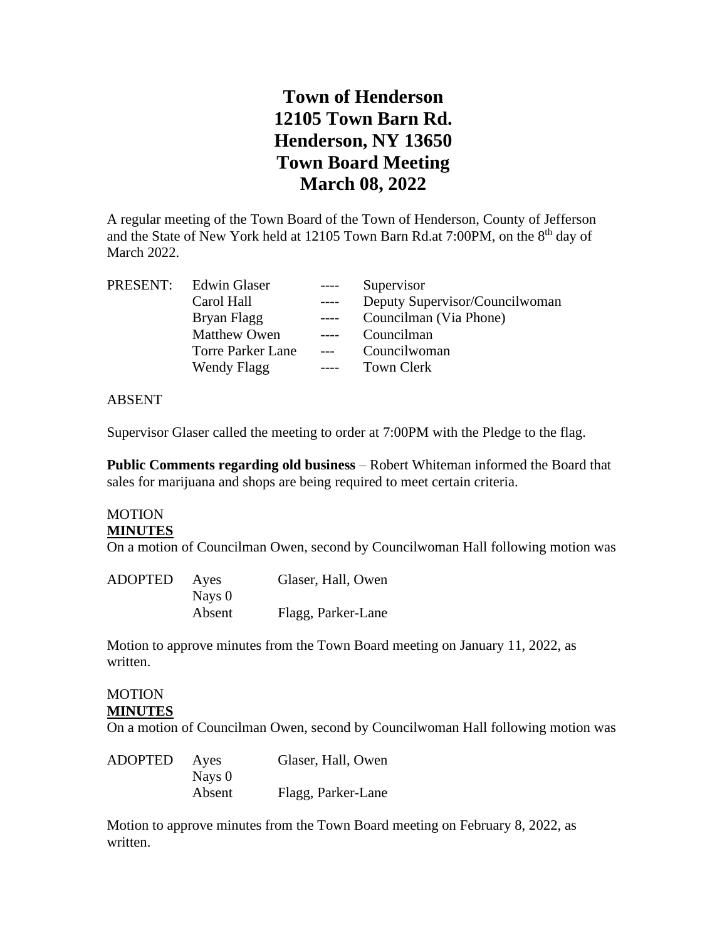# **Town of Henderson 12105 Town Barn Rd. Henderson, NY 13650 Town Board Meeting March 08, 2022**

A regular meeting of the Town Board of the Town of Henderson, County of Jefferson and the State of New York held at 12105 Town Barn Rd.at 7:00PM, on the 8<sup>th</sup> day of March 2022.

| PRESENT: Edwin Glaser    | $---$ | Supervisor                     |
|--------------------------|-------|--------------------------------|
| Carol Hall               | $---$ | Deputy Supervisor/Councilwoman |
| Bryan Flagg              | $---$ | Councilman (Via Phone)         |
| <b>Matthew Owen</b>      | $---$ | Councilman                     |
| <b>Torre Parker Lane</b> | $---$ | Councilwoman                   |
| Wendy Flagg              | $---$ | Town Clerk                     |
|                          |       |                                |

#### ABSENT

Supervisor Glaser called the meeting to order at 7:00PM with the Pledge to the flag.

**Public Comments regarding old business** – Robert Whiteman informed the Board that sales for marijuana and shops are being required to meet certain criteria.

# **MOTION**

## **MINUTES**

On a motion of Councilman Owen, second by Councilwoman Hall following motion was

| <b>ADOPTED</b> | Ayes   | Glaser, Hall, Owen |
|----------------|--------|--------------------|
|                | Nays 0 |                    |
|                | Absent | Flagg, Parker-Lane |

Motion to approve minutes from the Town Board meeting on January 11, 2022, as written.

#### MOTION **MINUTES**

On a motion of Councilman Owen, second by Councilwoman Hall following motion was

| <b>ADOPTED</b> | Ayes   | Glaser, Hall, Owen |
|----------------|--------|--------------------|
|                | Nays 0 |                    |
|                | Absent | Flagg, Parker-Lane |

Motion to approve minutes from the Town Board meeting on February 8, 2022, as written.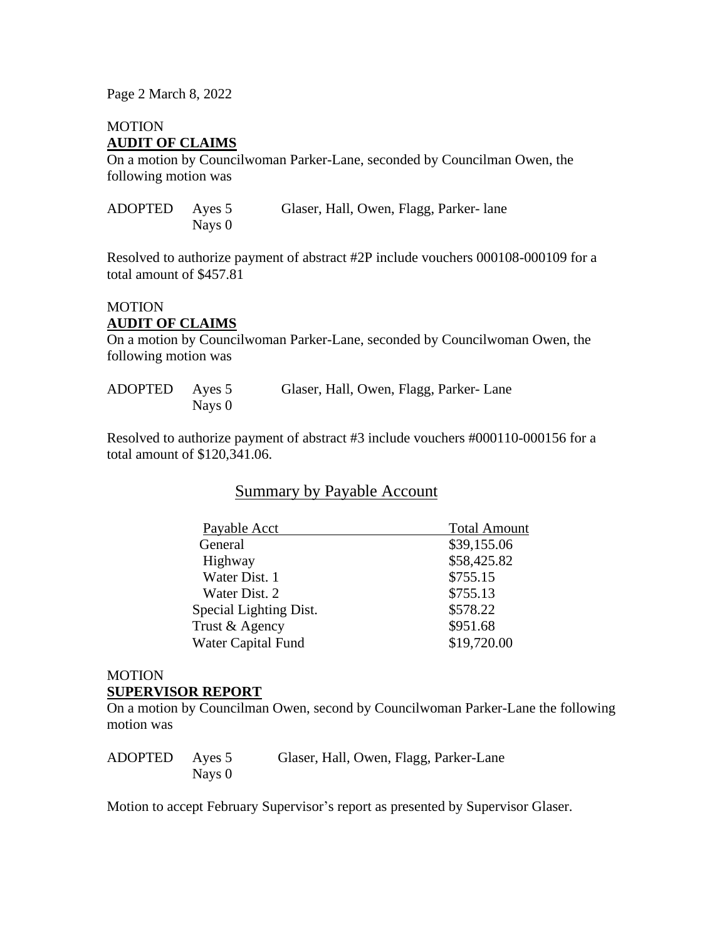Page 2 March 8, 2022

### MOTION **AUDIT OF CLAIMS**

On a motion by Councilwoman Parker-Lane, seconded by Councilman Owen, the following motion was

| ADOPTED Ayes 5 |        | Glaser, Hall, Owen, Flagg, Parker-lane |
|----------------|--------|----------------------------------------|
|                | Nays 0 |                                        |

Resolved to authorize payment of abstract #2P include vouchers 000108-000109 for a total amount of \$457.81

### **MOTION AUDIT OF CLAIMS**

On a motion by Councilwoman Parker-Lane, seconded by Councilwoman Owen, the following motion was

| ADOPTED Ayes 5 |        | Glaser, Hall, Owen, Flagg, Parker-Lane |
|----------------|--------|----------------------------------------|
|                | Nays 0 |                                        |

Resolved to authorize payment of abstract #3 include vouchers #000110-000156 for a total amount of \$120,341.06.

## Summary by Payable Account

| Payable Acct           | <b>Total Amount</b> |
|------------------------|---------------------|
| General                | \$39,155.06         |
| Highway                | \$58,425.82         |
| Water Dist. 1          | \$755.15            |
| Water Dist. 2          | \$755.13            |
| Special Lighting Dist. | \$578.22            |
| Trust & Agency         | \$951.68            |
| Water Capital Fund     | \$19,720.00         |
|                        |                     |

#### MOTION **SUPERVISOR REPORT**

On a motion by Councilman Owen, second by Councilwoman Parker-Lane the following motion was

| ADOPTED Ayes 5 |        | Glaser, Hall, Owen, Flagg, Parker-Lane |
|----------------|--------|----------------------------------------|
|                | Nays 0 |                                        |

Motion to accept February Supervisor's report as presented by Supervisor Glaser.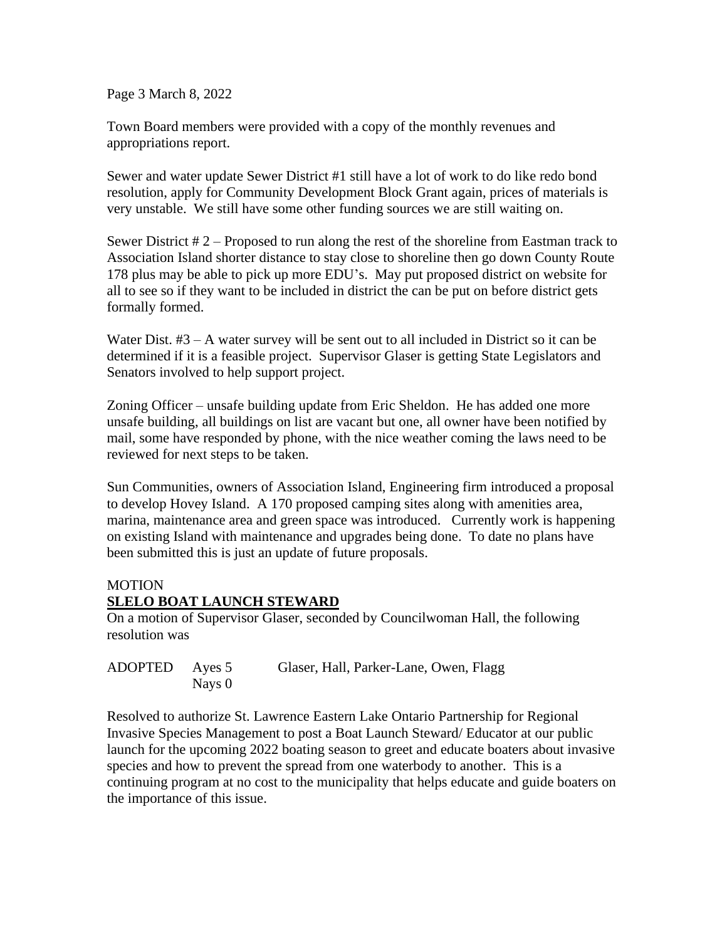Page 3 March 8, 2022

Town Board members were provided with a copy of the monthly revenues and appropriations report.

Sewer and water update Sewer District #1 still have a lot of work to do like redo bond resolution, apply for Community Development Block Grant again, prices of materials is very unstable. We still have some other funding sources we are still waiting on.

Sewer District # 2 – Proposed to run along the rest of the shoreline from Eastman track to Association Island shorter distance to stay close to shoreline then go down County Route 178 plus may be able to pick up more EDU's. May put proposed district on website for all to see so if they want to be included in district the can be put on before district gets formally formed.

Water Dist.  $#3 - A$  water survey will be sent out to all included in District so it can be determined if it is a feasible project. Supervisor Glaser is getting State Legislators and Senators involved to help support project.

Zoning Officer – unsafe building update from Eric Sheldon. He has added one more unsafe building, all buildings on list are vacant but one, all owner have been notified by mail, some have responded by phone, with the nice weather coming the laws need to be reviewed for next steps to be taken.

Sun Communities, owners of Association Island, Engineering firm introduced a proposal to develop Hovey Island. A 170 proposed camping sites along with amenities area, marina, maintenance area and green space was introduced. Currently work is happening on existing Island with maintenance and upgrades being done. To date no plans have been submitted this is just an update of future proposals.

## **MOTION SLELO BOAT LAUNCH STEWARD**

On a motion of Supervisor Glaser, seconded by Councilwoman Hall, the following resolution was

| ADOPTED Ayes 5 |        | Glaser, Hall, Parker-Lane, Owen, Flagg |
|----------------|--------|----------------------------------------|
|                | Nays 0 |                                        |

Resolved to authorize St. Lawrence Eastern Lake Ontario Partnership for Regional Invasive Species Management to post a Boat Launch Steward/ Educator at our public launch for the upcoming 2022 boating season to greet and educate boaters about invasive species and how to prevent the spread from one waterbody to another. This is a continuing program at no cost to the municipality that helps educate and guide boaters on the importance of this issue.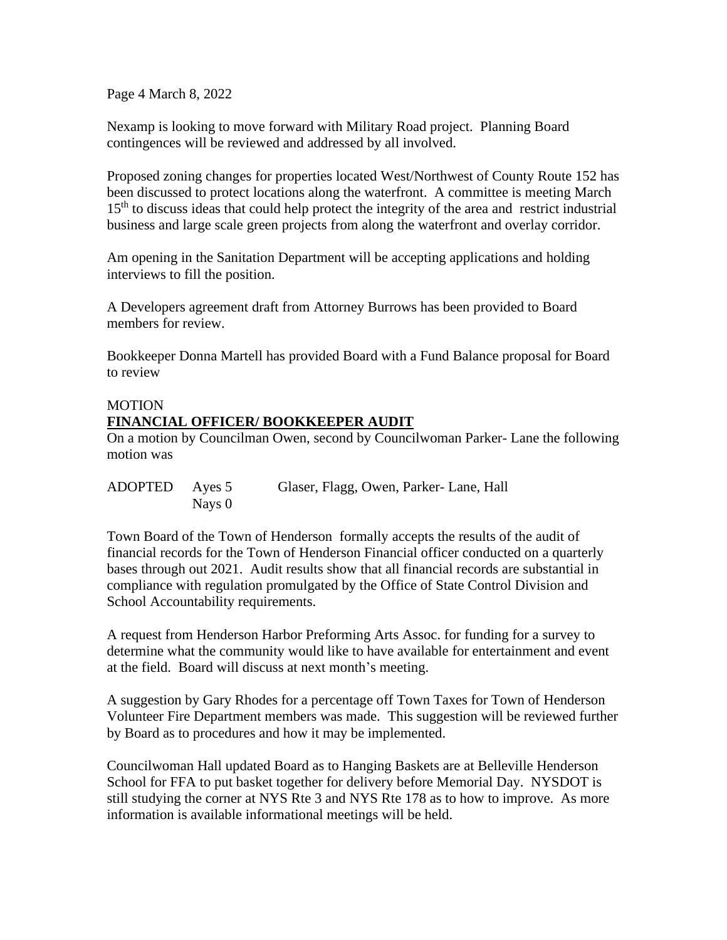Page 4 March 8, 2022

Nexamp is looking to move forward with Military Road project. Planning Board contingences will be reviewed and addressed by all involved.

Proposed zoning changes for properties located West/Northwest of County Route 152 has been discussed to protect locations along the waterfront. A committee is meeting March 15<sup>th</sup> to discuss ideas that could help protect the integrity of the area and restrict industrial business and large scale green projects from along the waterfront and overlay corridor.

Am opening in the Sanitation Department will be accepting applications and holding interviews to fill the position.

A Developers agreement draft from Attorney Burrows has been provided to Board members for review.

Bookkeeper Donna Martell has provided Board with a Fund Balance proposal for Board to review

### MOTION

## **FINANCIAL OFFICER/ BOOKKEEPER AUDIT**

On a motion by Councilman Owen, second by Councilwoman Parker- Lane the following motion was

| ADOPTED Ayes 5 |        | Glaser, Flagg, Owen, Parker-Lane, Hall |
|----------------|--------|----------------------------------------|
|                | Nays 0 |                                        |

Town Board of the Town of Henderson formally accepts the results of the audit of financial records for the Town of Henderson Financial officer conducted on a quarterly bases through out 2021. Audit results show that all financial records are substantial in compliance with regulation promulgated by the Office of State Control Division and School Accountability requirements.

A request from Henderson Harbor Preforming Arts Assoc. for funding for a survey to determine what the community would like to have available for entertainment and event at the field. Board will discuss at next month's meeting.

A suggestion by Gary Rhodes for a percentage off Town Taxes for Town of Henderson Volunteer Fire Department members was made. This suggestion will be reviewed further by Board as to procedures and how it may be implemented.

Councilwoman Hall updated Board as to Hanging Baskets are at Belleville Henderson School for FFA to put basket together for delivery before Memorial Day. NYSDOT is still studying the corner at NYS Rte 3 and NYS Rte 178 as to how to improve. As more information is available informational meetings will be held.